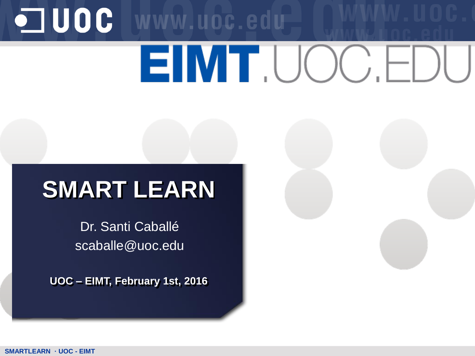# OUOC WWW.uoc.edu

# EIMT.UOC.F

## **SMART LEARN**

Dr. Santi Caballé scaballe@uoc.edu

**UOC – EIMT, February 1st, 2016**

**SMARTLEARN · UOC - EIMT**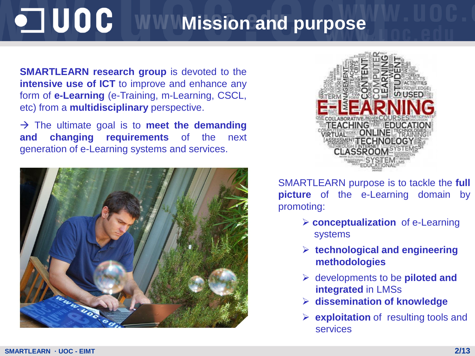#### $\blacksquare$  UOC **MINIMISSION and purpose**

**SMARTLEARN research group** is devoted to the **intensive use of ICT** to improve and enhance any form of **e-Learning** (e-Training, m-Learning, CSCL, etc) from a **multidisciplinary** perspective.

 $\rightarrow$  The ultimate goal is to **meet the demanding and changing requirements** of the next generation of e-Learning systems and services.





SMARTLEARN purpose is to tackle the **full picture** of the e-Learning domain by promoting:

- **conceptualization** of e-Learning systems
- **technological and engineering methodologies**
- developments to be **piloted and integrated** in LMSs
- **dissemination of knowledge**
- **► exploitation** of resulting tools and services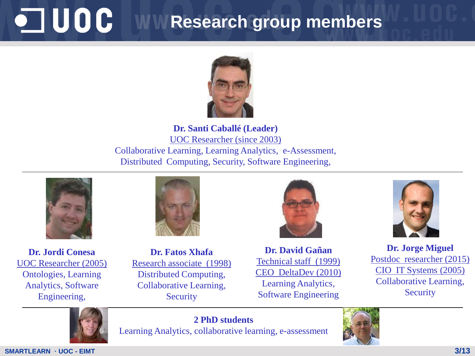#### OUDE **Research group members**



**Dr. Santi Caballé (Leader)** UOC Researcher (since 2003) Collaborative Learning, Learning Analytics, e-Assessment, Distributed Computing, Security, Software Engineering,



**Dr. Jordi Conesa** UOC Researcher (2005) Ontologies, Learning Analytics, Software Engineering,



**Dr. Fatos Xhafa** Research associate (1998) Distributed Computing, Collaborative Learning, **Security** 



**Dr. David Gañan**  Technical staff (1999) CEO DeltaDev (2010) Learning Analytics, Software Engineering



**Dr. Jorge Miguel** Postdoc researcher (2015) CIO IT Systems (2005) Collaborative Learning, **Security** 



**2 PhD students** Learning Analytics, collaborative learning, e-assessment

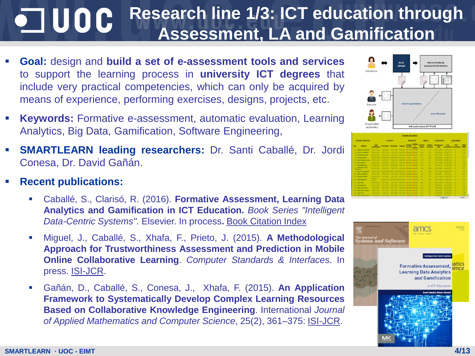#### **Research line 1/3: ICT education through**   $\blacksquare$  UOC **Assessment, LA and Gamification**

- **Goal:** design and **build a set of e-assessment tools and services** to support the learning process in **university ICT degrees** that include very practical competencies, which can only be acquired by means of experience, performing exercises, designs, projects, etc.
- **Keywords:** Formative e-assessment, automatic evaluation, Learning Analytics, Big Data, Gamification, Software Engineering,
- **SMARTLEARN leading researchers:** Dr. Santi Caballé, Dr. Jordi Conesa, Dr. David Gañán.
- **Recent publications:**
	- Caballé, S., Clarisó, R. (2016). **Formative Assessment, Learning Data Analytics and Gamification in ICT Education.** *Book Series "Intelligent Data-Centric Systems".* Elsevier. In process**.** Book Citation Index
	- Miguel, J., Caballé, S., Xhafa, F., Prieto, J. (2015). **A Methodological Approach for Trustworthiness Assessment and Prediction in Mobile Online Collaborative Learning**. *Computer Standards & Interfaces*. In press. ISI-JCR.
	- Gañán, D., Caballé, S., Conesa, J., Xhafa, F. (2015). **An Application Framework to Systematically Develop Complex Learning Resources Based on Collaborative Knowledge Engineering**. International *Journal of Applied Mathematics and Computer Science*, 25(2), 361–375: ISI-JCR.



|                  |                                 |                        |                  |                         |                  | <b>STUDENT STATISTICS</b>                               |                           |                            |                              |                                           |                   |                             |
|------------------|---------------------------------|------------------------|------------------|-------------------------|------------------|---------------------------------------------------------|---------------------------|----------------------------|------------------------------|-------------------------------------------|-------------------|-----------------------------|
| STUDENT POSITION |                                 | <b>ACTIVITY</b>        |                  |                         |                  | <b>PASSIVITY</b>                                        | <b>INPACT</b>             |                            | <b>EFFECTIVITY</b>           |                                           | <b>ASSESSMENT</b> |                             |
| Pos              | <b>Student</b>                  | Total<br>contributions | Proactivity      | <b>Reactivity</b>       |                  | <b>Pending</b><br><b>Pendise</b><br>to rend<br>evaluate | <b>Particis</b><br>import | <b>Replies</b><br>received | <b>Assistment</b><br>rebut   | Peer<br><b><i>HARMARED ASSOCIATED</i></b> | Tutter            | <b>FTNAL</b><br><b>MARK</b> |
|                  | <b>Jacone Cesadesis</b>         | W299 4.5%              | <b>LON 425-1</b> | 3.0/9.33%               | <b>CLASS ON </b> | 00/100 100/100                                          | $\mathbf{X}$              | 376                        | 20/28 200%                   | 6.6/10.0287                               | ٠                 | <b>KRL</b>                  |
|                  | <b>David Femandez</b>           | 47194.2.0%             |                  |                         |                  | 3.0/4.79% 1.0/4.29% 0.0/4.0% 116/195.195/195            | 21 W                      | 374                        | 28/31 90%                    | $-7710717$                                | ٠                 | 4.56                        |
|                  | <b>David Recyclent</b>          | 4/1922 096             |                  |                         |                  | 3.0 V 79% / E 0 V 23% / 0.0 V 9% / 182/105 105/105      | 543                       | 314                        | <b>TA/13 100%</b>            | 2.3/10 (11)                               | ٠                 | 13                          |
| u                | Sergia Acches                   | 18/199 9.0%            |                  |                         |                  | 3.0738 10% 15.073 62% 0.0738 0% 9/181 20/181            | 73                        | 11/10                      | 01/08/92%                    | 6.0/10(33)                                | ٠                 | <b>CAL</b>                  |
|                  | <b>John Kamire County</b>       | 8/103-8.0%             |                  |                         |                  | 1.0.8.12% 7.0.9.87% 0.0.8.0% 117/191.130/191            | as.                       | 470                        | 27/29 85%                    | $-0.8710$ (24)                            | ٠                 |                             |
|                  | <b>Circar Mario</b>             | 8/199.4.0%             |                  |                         |                  | <b>5.0.9.42% 3.0.8.37% 0.0.8.0% 146/191 101/191</b>     | 13.3                      | 28                         | <b>KIND SOON</b> 8-3/10 CH   |                                           | ٠                 | 6.34                        |
|                  | <b>Vicent Bunche</b>            | 1/199.3.0%             | 0.0/8 0%         |                         |                  | A.D.N. 100% 0.D.N.ON 33/203 162/193                     | 3.0                       | <b>DO</b>                  | AT/32 90% 3.8/10 (22)        |                                           | ٠                 | 4.28                        |
|                  | <b>Transfers Just</b><br>Garcia | 9709-2256              | 2.0/9.22%        |                         |                  | 7.0/6.77% 0.0/4.9% 123/199.190/190                      | 14.0                      | 10/9                       | 83723 89%                    | 5.5/10 (34)                               | ٠                 | 6.27                        |
|                  | 11 Lain José Salami             | 12/199.0.0%            |                  |                         |                  | 2.072 155, 10.577 476, 0.577 06, 74/127, 16/147         | 11                        | 7/12                       | 17/17 100% 8.4/10 (21)       |                                           | z.                | 4.26                        |
|                  | 101 Lida Castilale              | 3/1923.5%              |                  |                         |                  | 2.0/3 66% / 1.0/3 33% 8.0/3 (% 183/196 186/196          | -8.5                      | <b>US</b>                  | 3/3 100%                     | 6.5/10 (8)                                | ٠                 | 4.22                        |
| m                | <b>Monai Virtuezz</b>           | 5/199 2.5%             |                  |                         |                  | 4.0/5.02% 1.0/5.20% 0.0/5.0% 168/194.194/194            | 2.0                       | 3/5                        | 13/13 100% 3.7/10 (13)       |                                           | ٠                 | 4.19                        |
|                  | 121 Lisia Martiner              | 20/199<br>17.19.       |                  |                         |                  | LOUIS 3% 19.0/20 93% 0.0/20 0% 23/178 179/179           | 4.8                       | 172                        | 15/15 100% 6.3/10 (01)       |                                           | e.                | 6.38                        |
|                  | <b>131 Ivan Batz</b>            | 6/199/5/196            |                  |                         |                  | 3.0/4.83% 1.0/6.18% 0.0/6.0% 181/193 193/193            | 18.5                      | 876                        | 19/19 2009 8-7/20 (13)       |                                           | $\sim$            | 633                         |
|                  | <b>If Jord Kenny</b>            | 1799-3.9%              | <b>LIVE LINE</b> |                         |                  | ART 45% BAT IN 111/192 182(192)                         | n.                        | w                          | AAM LINGTON                  | <b>A. USB (36)</b>                        | ٠                 | 63                          |
|                  | 137 Alois Carocolo              | 7/100 3.5%             | 1.077.42%        |                         |                  | 4.07.57% 0.07.0% 143/102 102/102                        | 13.5                      | 377                        | \$7,82,91%                   | <b>B-A/10 (37)</b>                        |                   | 4.01                        |
| w                | <b>Adoración Gercia</b>         | 1/190 2.5%             | TAN 20%          |                         |                  | 4.00.80% 0.00.0% 141/194.156/194                        | -2.0                      | 475                        | 14/16 87%                    | 6.3/10 (21)                               | ٠                 | 3, 11                       |
|                  | 171 Steen Prizes                | 11996 3.5%             |                  |                         |                  | 100 PM 1207-1006 ANT PM 95/152-102037                   | ٠×                        | <b>AIT</b>                 |                              | 22231 IEPS - A A/10 CEO                   | $\sim$            | K.M.                        |
|                  | <b>histi lington</b> far        | Linda & Tax            |                  | 1.533.30096. 6.523.096. |                  | And my shares retrien                                   | 33.75                     | 38                         | <b>ESPARATOR - SUMMITTEE</b> |                                           |                   | 3, 141                      |
|                  |                                 |                        |                  |                         |                  |                                                         |                           |                            |                              | G Stand                                   |                   | PL 190% -                   |

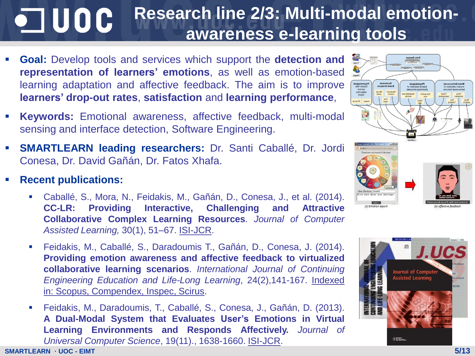#### **Research line 2/3: Multi-modal emotion-** $\blacksquare$  UOC **awareness e-learning tools**

- **Goal:** Develop tools and services which support the **detection and representation of learners' emotions**, as well as emotion-based learning adaptation and affective feedback. The aim is to improve **learners' drop-out rates**, **satisfaction** and **learning performance**,
- **Keywords:** Emotional awareness, affective feedback, multi-modal sensing and interface detection, Software Engineering.
- **SMARTLEARN leading researchers:** Dr. Santi Caballé, Dr. Jordi Conesa, Dr. David Gañán, Dr. Fatos Xhafa.
- **Recent publications:**
	- Caballé, S., Mora, N., Feidakis, M., Gañán, D., Conesa, J., et al. (2014). **CC-LR: Providing Interactive, Challenging and Attractive Collaborative Complex Learning Resources**. *Journal of Computer Assisted Learning,* 30(1), 51–67. ISI-JCR.
	- Feidakis, M., Caballé, S., Daradoumis T., Gañán, D., Conesa, J. (2014). **Providing emotion awareness and affective feedback to virtualized collaborative learning scenarios**. *International Journal of Continuing Engineering Education and Life-Long Learning*, 24(2),141-167. Indexed in: Scopus, Compendex, Inspec, Scirus.
	- Feidakis, M., Daradoumis, T., Caballé, S., Conesa, J., Gañán, D. (2013). **A Dual-Modal System that Evaluates User's Emotions in Virtual Learning Environments and Responds Affectively.** *Journal of Universal Computer Science*, 19(11)., 1638-1660. ISI-JCR.



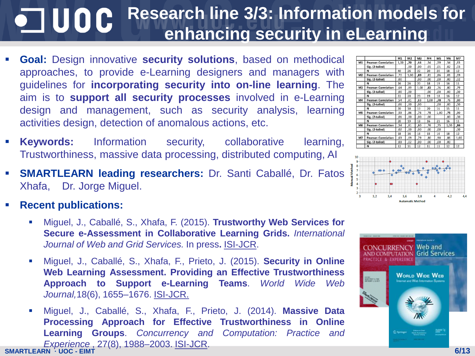#### **Research line 3/3: Information models for**   $\blacksquare$  UOC **enhancing security in eLearning**

- **Goal:** Design innovative **security solutions**, based on methodical approaches, to provide e-Learning designers and managers with guidelines for **incorporating security into on-line learning**. The aim is to **support all security processes** involved in e-Learning design and management, such as security analysis, learning activities design, detection of anomalous actions, etc.
- **Keywords:** Information security, collaborative learning, Trustworthiness, massive data processing, distributed computing, AI
- **SMARTLEARN leading researchers:** Dr. Santi Caballé, Dr. Fatos Xhafa, Dr. Jorge Miguel.
- **Recent publications:**
	- Miguel, J., Caballé, S., Xhafa, F. (2015). **Trustworthy Web Services for Secure e-Assessment in Collaborative Learning Grids.** *International Journal of Web and Grid Services.* In press**.** ISI-JCR.
	- Miguel, J., Caballé, S., Xhafa, F., Prieto, J. (2015). **Security in Online Web Learning Assessment. Providing an Effective Trustworthiness Approach to Support e-Learning Teams**. *World Wide Web Journal,*18(6), 1655–1676. ISI-JCR.
- **SMARTLEARN · UOC - EIMT** Miguel, J., Caballé, S., Xhafa, F., Prieto, J. (2014). **Massive Data Processing Approach for Effective Trustworthiness in Online Learning Groups**. *Concurrency and Computation: Practice and Experience* , 27(8), 1988–2003. ISI-JCR.





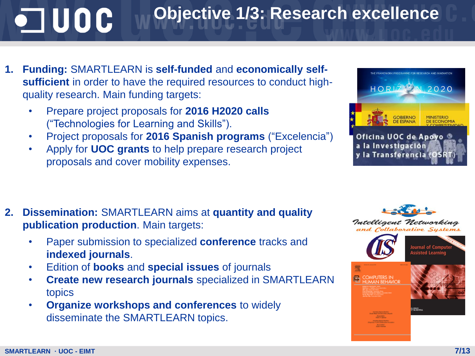## $\blacksquare$  UOC

### **Objective 1/3: Research excellence**

- **1. Funding:** SMARTLEARN is **self-funded** and **economically selfsufficient** in order to have the required resources to conduct highquality research. Main funding targets:
	- Prepare project proposals for **2016 H2020 calls**  ("Technologies for Learning and Skills").
	- Project proposals for **2016 Spanish programs** ("Excelencia")
	- Apply for **UOC grants** to help prepare research project proposals and cover mobility expenses.



- **2. Dissemination:** SMARTLEARN aims at **quantity and quality publication production**. Main targets:
	- Paper submission to specialized **conference** tracks and **indexed journals**.
	- Edition of **books** and **special issues** of journals
	- **Create new research journals** specialized in SMARTLEARN topics
	- **Organize workshops and conferences** to widely disseminate the SMARTLEARN topics.

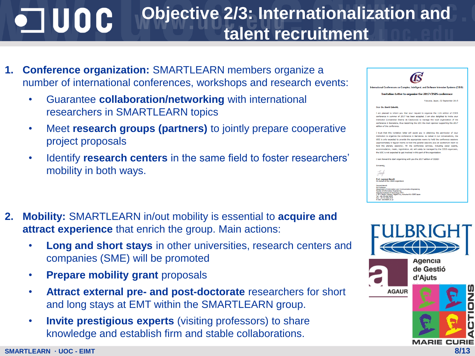#### **Objective 2/3: Internationalization and**   $\blacksquare$  UOC **talent recruitment**

- **1. Conference organization:** SMARTLEARN members organize a number of international conferences, workshops and research events:
	- Guarantee **collaboration/networking** with international researchers in SMARTLEARN topics
	- Meet **research groups (partners)** to jointly prepare cooperative project proposals
	- Identify **research centers** in the same field to foster researchers' mobility in both ways.
- **2. Mobility:** SMARTLEARN in/out mobility is essential to **acquire and attract experience** that enrich the group. Main actions:
	- **Long and short stays** in other universities, research centers and companies (SME) will be promoted
	- **Prepare mobility grant** proposals
	- **Attract external pre- and post-doctorate** researchers for short and long stays at EMT within the SMARTLEARN group.
	- **Invite prestigious experts** (visiting professors) to share knowledge and establish firm and stable collaborations.

|  | ernational Conferences on Complex, Intelligent, and Software Intensive Systems (CISIS                                                                                                                                                                                                                                                                                                                                                                                                                                                                                                                                                |  |  |  |  |  |  |  |  |
|--|--------------------------------------------------------------------------------------------------------------------------------------------------------------------------------------------------------------------------------------------------------------------------------------------------------------------------------------------------------------------------------------------------------------------------------------------------------------------------------------------------------------------------------------------------------------------------------------------------------------------------------------|--|--|--|--|--|--|--|--|
|  | <b>Invitation Letter to organize the 2017 CISIS conference</b>                                                                                                                                                                                                                                                                                                                                                                                                                                                                                                                                                                       |  |  |  |  |  |  |  |  |
|  | Fukuoka, Japan, 02 September 2015                                                                                                                                                                                                                                                                                                                                                                                                                                                                                                                                                                                                    |  |  |  |  |  |  |  |  |
|  | Dear Dr. Santi Caballé.                                                                                                                                                                                                                                                                                                                                                                                                                                                                                                                                                                                                              |  |  |  |  |  |  |  |  |
|  | I am pleased to inform you that your request to organize the 11th edition of CISIS<br>conference in summer of 2017 has been accepted. I am also delighted to invite your<br>institution (Universitat Oberta de Catalunya) to manage the local organization of the<br>conference in Barcelona, thus becoming the UOC the main sponsor supporting the 2017<br>edition of the conference.                                                                                                                                                                                                                                               |  |  |  |  |  |  |  |  |
|  | I trust that this invitation letter will assist you in obtaining the permission of your<br>institution to organize the conference in Barcelona. As talked in our conversations, the<br>UOC is only expected to provide the appropriate rooms to hold the conference sessions<br>(approximately 8 regular rooms to hold the parallel sessions plus an auditorium room to<br>hold the plenary sessions). All the conference services, including social events,<br>accommodation, meals, registration, etc will solely be managed by the CISIS organizers,<br>the UOC is not expected to get involved in this part of the organization. |  |  |  |  |  |  |  |  |
|  | I look forward to start organizing with you the 2017 edition of CISIS!                                                                                                                                                                                                                                                                                                                                                                                                                                                                                                                                                               |  |  |  |  |  |  |  |  |
|  | Sincerely,<br><b>Prof. Leonard Barolli</b>                                                                                                                                                                                                                                                                                                                                                                                                                                                                                                                                                                                           |  |  |  |  |  |  |  |  |
|  | On behalf of the CISIS organizers<br><b>Leonard Barolli</b><br><b>Full Professor</b><br>Department of Information and Communication Engineering<br>Faculty of Information Engineering<br>Fukuoka Institute of Technology (FIT)<br>3-30-1 Watiro-Hoashi, Higashi-ku, Fukuoka 811-0295 Japan<br>Tel: +81-92-606-4970<br>Fax: +81-92-606-4970<br>E-mail: baroll@fit.ac.jp                                                                                                                                                                                                                                                               |  |  |  |  |  |  |  |  |



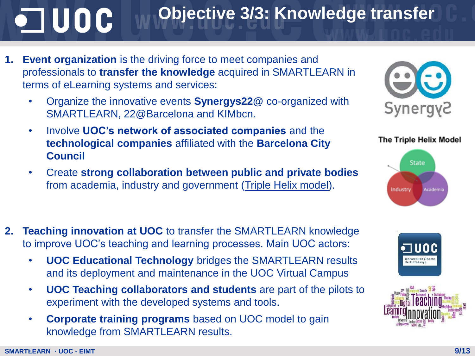## OUDE

**1. Event organization** is the driving force to meet companies and professionals to **transfer the knowledge** acquired in SMARTLEARN in terms of eLearning systems and services:

**Objective 3/3: Knowledge transfer** 

- Organize the innovative events **Synergys22@** co-organized with SMARTLEARN, 22@Barcelona and KIMbcn.
- Involve **UOC's network of associated companies** and the **technological companies** affiliated with the **Barcelona City Council**
- Create **strong collaboration between public and private bodies**  from academia, industry and government (Triple Helix model).



- **UOC Educational Technology** bridges the SMARTLEARN results and its deployment and maintenance in the UOC Virtual Campus
- **UOC Teaching collaborators and students** are part of the pilots to experiment with the developed systems and tools.
- **Corporate training programs** based on UOC model to gain knowledge from SMARTLEARN results.



#### **The Triple Helix Model**





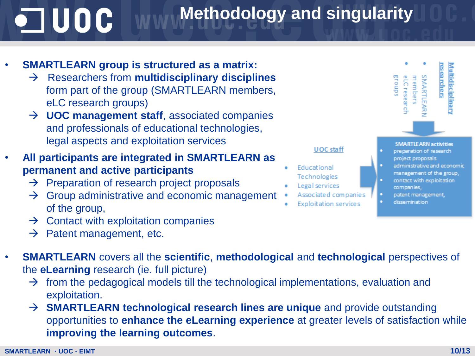## $\blacksquare$  UOC

### **Methodology and singularity**

#### • **SMARTLEARN group is structured as a matrix:**

- Researchers from **multidisciplinary disciplines**  form part of the group (SMARTLEARN members, eLC research groups)
- → **UOC management staff**, associated companies and professionals of educational technologies, legal aspects and exploitation services
- **All participants are integrated in SMARTLEARN as permanent and active participants**
	- $\rightarrow$  Preparation of research project proposals
	- $\rightarrow$  Group administrative and economic management of the group,
	- $\rightarrow$  Contact with exploitation companies
	- $\rightarrow$  Patent management, etc.
- **SMARTLEARN** covers all the **scientific**, **methodological** and **technological** perspectives of the **eLearning** research (ie. full picture)
	- $\rightarrow$  from the pedagogical models till the technological implementations, evaluation and exploitation.
	- → **SMARTLEARN technological research lines are unique** and provide outstanding opportunities to **enhance the eLearning experience** at greater levels of satisfaction while **improving the learning outcomes**.